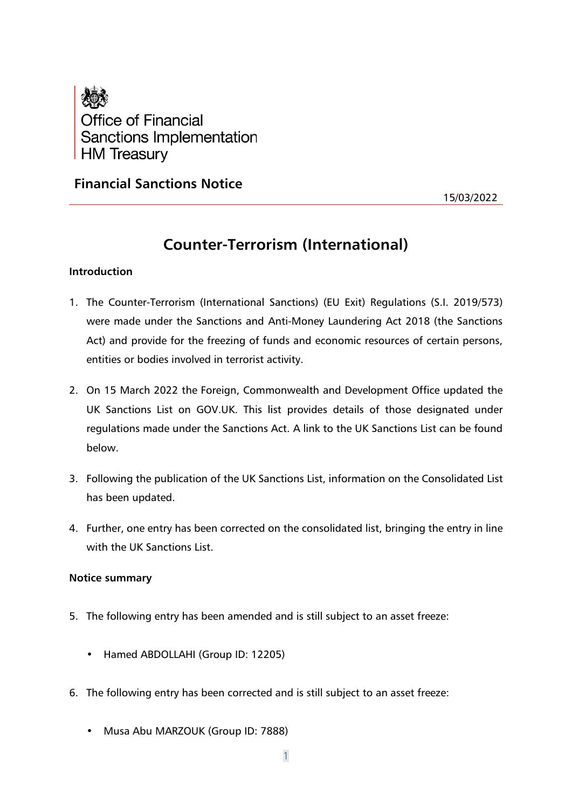

**Financial Sanctions Notice**

15/03/2022

# **Counter-Terrorism (International)**

# **Introduction**

- 1. The Counter-Terrorism (International Sanctions) (EU Exit) Regulations (S.I. 2019/573) were made under the Sanctions and Anti-Money Laundering Act 2018 (the Sanctions Act) and provide for the freezing of funds and economic resources of certain persons, entities or bodies involved in terrorist activity.
- 2. On 15 March 2022 the Foreign, Commonwealth and Development Office updated the UK Sanctions List on GOV.UK. This list provides details of those designated under regulations made under the Sanctions Act. A link to the UK Sanctions List can be found below.
- 3. Following the publication of the UK Sanctions List, information on the Consolidated List has been updated.
- 4. Further, one entry has been corrected on the consolidated list, bringing the entry in line with the UK Sanctions List.

# **Notice summary**

- 5. The following entry has been amended and is still subject to an asset freeze:
	- Hamed ABDOLLAHI (Group ID: 12205)
- 6. The following entry has been corrected and is still subject to an asset freeze:
	- Musa Abu MARZOUK (Group ID: 7888)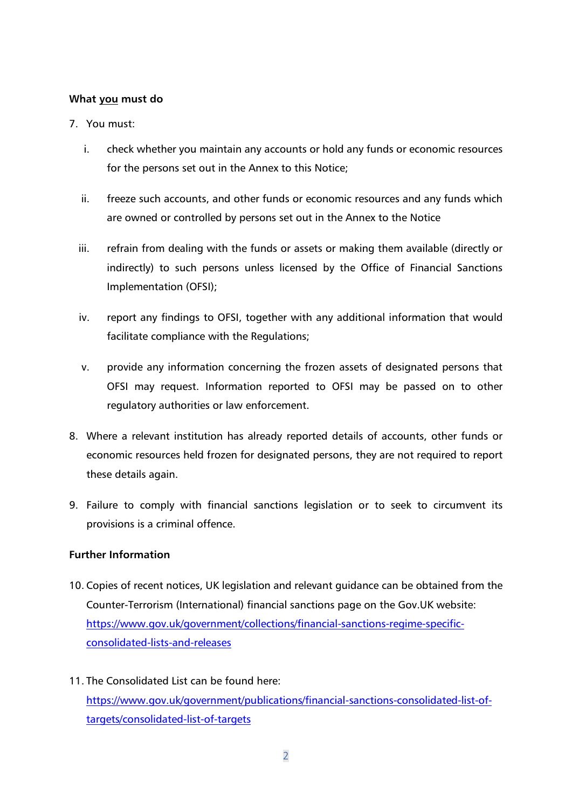# **What you must do**

# 7. You must:

- i. check whether you maintain any accounts or hold any funds or economic resources for the persons set out in the Annex to this Notice;
- ii. freeze such accounts, and other funds or economic resources and any funds which are owned or controlled by persons set out in the Annex to the Notice
- iii. refrain from dealing with the funds or assets or making them available (directly or indirectly) to such persons unless licensed by the Office of Financial Sanctions Implementation (OFSI);
- iv. report any findings to OFSI, together with any additional information that would facilitate compliance with the Regulations;
- v. provide any information concerning the frozen assets of designated persons that OFSI may request. Information reported to OFSI may be passed on to other regulatory authorities or law enforcement.
- 8. Where a relevant institution has already reported details of accounts, other funds or economic resources held frozen for designated persons, they are not required to report these details again.
- 9. Failure to comply with financial sanctions legislation or to seek to circumvent its provisions is a criminal offence.

# **Further Information**

- 10. Copies of recent notices, UK legislation and relevant guidance can be obtained from the Counter-Terrorism (International) financial sanctions page on the Gov.UK website: [https://www.gov.uk/government/collections/financial-sanctions-regime-specific](https://www.gov.uk/government/collections/financial-sanctions-regime-specific-consolidated-lists-and-releases)[consolidated-lists-and-releases](https://www.gov.uk/government/collections/financial-sanctions-regime-specific-consolidated-lists-and-releases)
- 11. The Consolidated List can be found here: [https://www.gov.uk/government/publications/financial-sanctions-consolidated-list-of](https://www.gov.uk/government/publications/financial-sanctions-consolidated-list-of-targets/consolidated-list-of-targets)[targets/consolidated-list-of-targets](https://www.gov.uk/government/publications/financial-sanctions-consolidated-list-of-targets/consolidated-list-of-targets)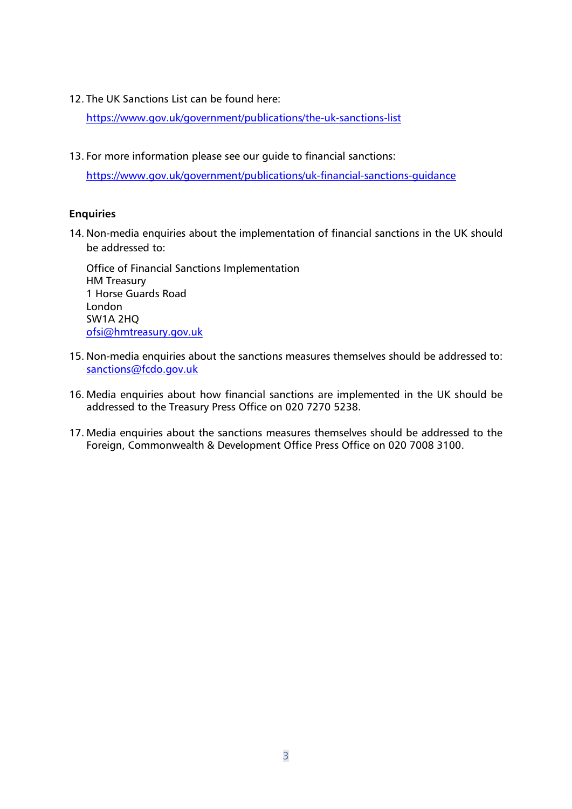12. The UK Sanctions List can be found here:

<https://www.gov.uk/government/publications/the-uk-sanctions-list>

13. For more information please see our guide to financial sanctions:

<https://www.gov.uk/government/publications/uk-financial-sanctions-guidance>

# **Enquiries**

14. Non-media enquiries about the implementation of financial sanctions in the UK should be addressed to:

Office of Financial Sanctions Implementation HM Treasury 1 Horse Guards Road London SW1A 2HQ [ofsi@hmtreasury.gov.uk](mailto:ofsi@hmtreasury.gov.uk)

- 15. Non-media enquiries about the sanctions measures themselves should be addressed to: [sanctions@fcdo.gov.uk](mailto:sanctions@fcdo.gov.uk)
- 16. Media enquiries about how financial sanctions are implemented in the UK should be addressed to the Treasury Press Office on 020 7270 5238.
- 17. Media enquiries about the sanctions measures themselves should be addressed to the Foreign, Commonwealth & Development Office Press Office on 020 7008 3100.